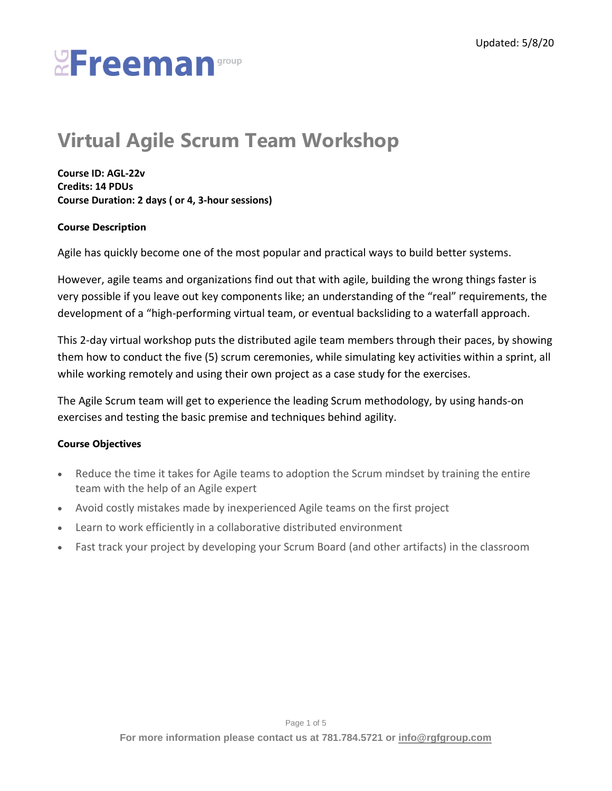## **Virtual Agile Scrum Team Workshop**

**Course ID: AGL-22v Credits: 14 PDUs Course Duration: 2 days ( or 4, 3-hour sessions)**

#### **Course Description**

Agile has quickly become one of the most popular and practical ways to build better systems.

However, agile teams and organizations find out that with agile, building the wrong things faster is very possible if you leave out key components like; an understanding of the "real" requirements, the development of a "high-performing virtual team, or eventual backsliding to a waterfall approach.

This 2-day virtual workshop puts the distributed agile team members through their paces, by showing them how to conduct the five (5) scrum ceremonies, while simulating key activities within a sprint, all while working remotely and using their own project as a case study for the exercises.

The Agile Scrum team will get to experience the leading Scrum methodology, by using hands-on exercises and testing the basic premise and techniques behind agility.

#### **Course Objectives**

- Reduce the time it takes for Agile teams to adoption the Scrum mindset by training the entire team with the help of an Agile expert
- Avoid costly mistakes made by inexperienced Agile teams on the first project
- Learn to work efficiently in a collaborative distributed environment
- Fast track your project by developing your Scrum Board (and other artifacts) in the classroom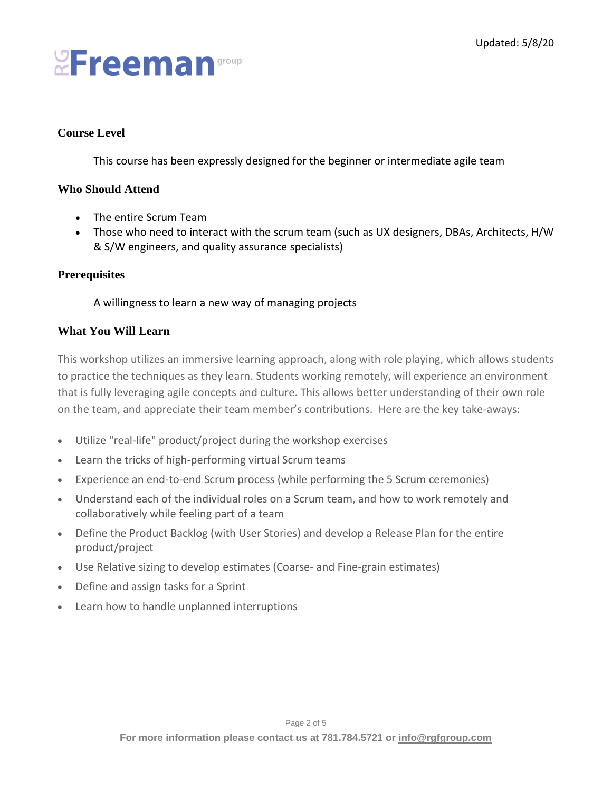#### **Course Level**

This course has been expressly designed for the beginner or intermediate agile team

#### **Who Should Attend**

- The entire Scrum Team
- Those who need to interact with the scrum team (such as UX designers, DBAs, Architects, H/W & S/W engineers, and quality assurance specialists)

#### **Prerequisites**

#### A willingness to learn a new way of managing projects

#### **What You Will Learn**

This workshop utilizes an immersive learning approach, along with role playing, which allows students to practice the techniques as they learn. Students working remotely, will experience an environment that is fully leveraging agile concepts and culture. This allows better understanding of their own role on the team, and appreciate their team member's contributions. Here are the key take-aways:

- Utilize "real-life" product/project during the workshop exercises
- Learn the tricks of high-performing virtual Scrum teams
- Experience an end-to-end Scrum process (while performing the 5 Scrum ceremonies)
- Understand each of the individual roles on a Scrum team, and how to work remotely and collaboratively while feeling part of a team
- Define the Product Backlog (with User Stories) and develop a Release Plan for the entire product/project
- Use Relative sizing to develop estimates (Coarse- and Fine-grain estimates)
- Define and assign tasks for a Sprint
- Learn how to handle unplanned interruptions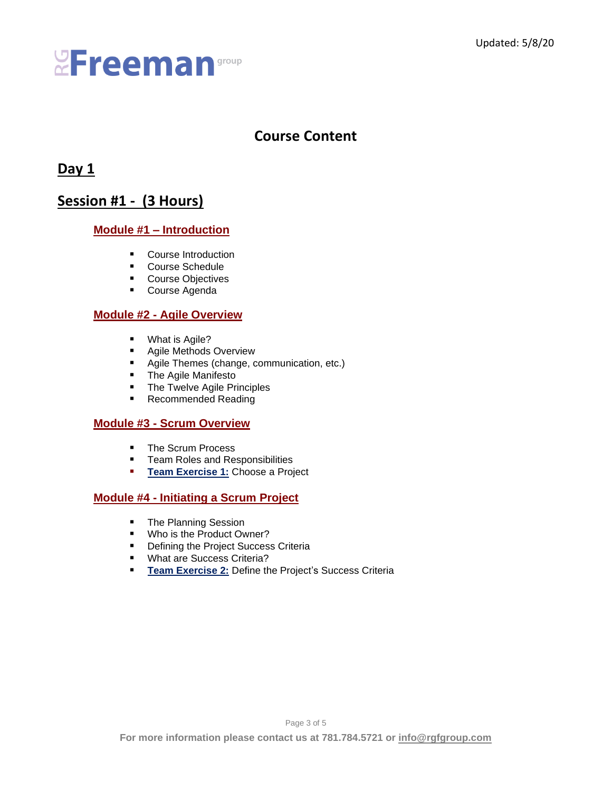## **Course Content**

### **Day 1**

### **Session #1 - (3 Hours)**

#### **Module #1 – Introduction**

- Course Introduction
- Course Schedule
- Course Objectives
- Course Agenda

#### **Module #2 - Agile Overview**

- What is Agile?
- Agile Methods Overview
- Agile Themes (change, communication, etc.)
- The Agile Manifesto
- The Twelve Agile Principles
- Recommended Reading

#### **Module #3 - Scrum Overview**

- The Scrum Process
- Team Roles and Responsibilities
- **EXERICISE 1: Choose a Project**

#### **Module #4 - Initiating a Scrum Project**

- The Planning Session
- Who is the Product Owner?
- Defining the Project Success Criteria
- What are Success Criteria?
- **EXECT:** Team Exercise 2: Define the Project's Success Criteria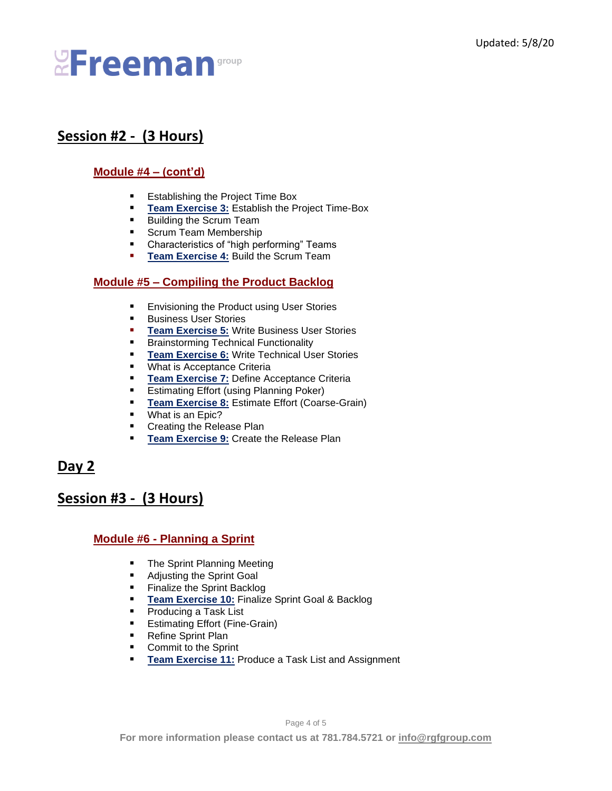## **Session #2 - (3 Hours)**

#### **Module #4 – (cont'd)**

- Establishing the Project Time Box
- **EXERICE:** Team Exercise 3: Establish the Project Time-Box
- Building the Scrum Team
- Scrum Team Membership
- Characteristics of "high performing" Teams
- **EXERUP:** Team Exercise 4: Build the Scrum Team

#### **Module #5 – Compiling the Product Backlog**

- Envisioning the Product using User Stories
- Business User Stories
- **Team Exercise 5: Write Business User Stories**
- Brainstorming Technical Functionality
- **EXERGIE TEAM Exercise 6:** Write Technical User Stories
- What is Acceptance Criteria<br>■ Team Exercise 7: Define Ad
- **Team Exercise 7: Define Acceptance Criteria**
- Estimating Effort (using Planning Poker)
- **E** Team Exercise 8: Estimate Effort (Coarse-Grain)
- What is an Epic?
- Creating the Release Plan
- **EXERCISE 1: Create the Release Plan**

### **Day 2**

### **Session #3 - (3 Hours)**

#### **Module #6 - Planning a Sprint**

- The Sprint Planning Meeting
- Adjusting the Sprint Goal
- Finalize the Sprint Backlog
- **Team Exercise 10: Finalize Sprint Goal & Backlog**
- Producing a Task List
- Estimating Effort (Fine-Grain)
- Refine Sprint Plan
- Commit to the Sprint
- **F** Team Exercise 11: Produce a Task List and Assignment